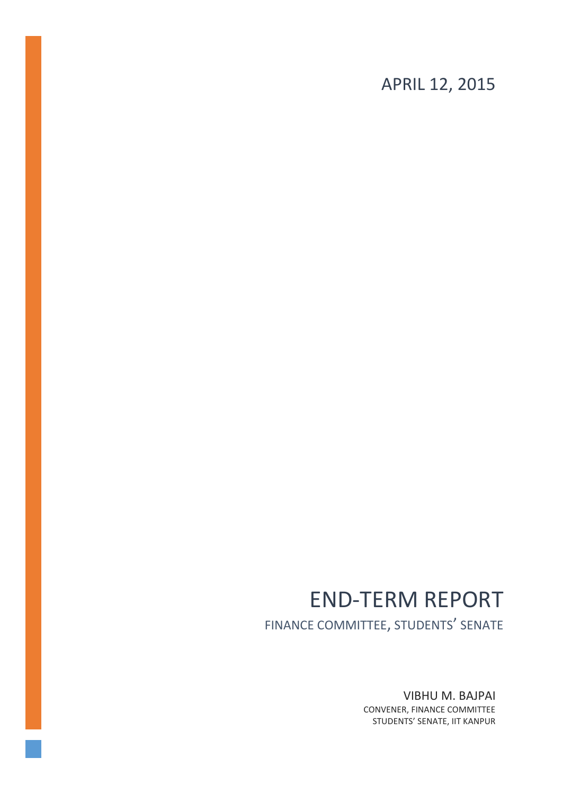APRIL 12, 2015

# END-TERM REPORT

FINANCE COMMITTEE, STUDENTS' SENATE

VIBHU M. BAJPAI CONVENER, FINANCE COMMITTEE STUDENTS' SENATE, IIT KANPUR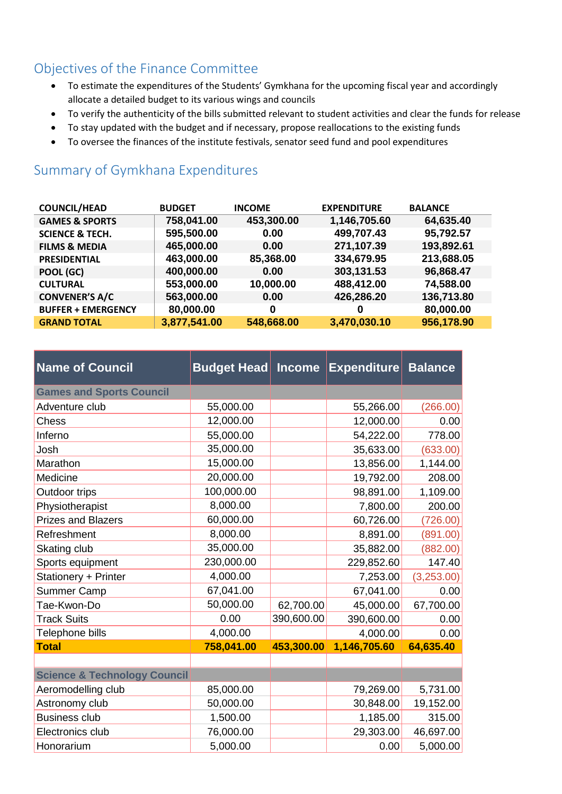## Objectives of the Finance Committee

- To estimate the expenditures of the Students' Gymkhana for the upcoming fiscal year and accordingly allocate a detailed budget to its various wings and councils
- To verify the authenticity of the bills submitted relevant to student activities and clear the funds for release
- To stay updated with the budget and if necessary, propose reallocations to the existing funds
- To oversee the finances of the institute festivals, senator seed fund and pool expenditures

## Summary of Gymkhana Expenditures

| <b>COUNCIL/HEAD</b>        | <b>BUDGET</b> | <b>INCOME</b> | <b>EXPENDITURE</b> | <b>BALANCE</b> |
|----------------------------|---------------|---------------|--------------------|----------------|
| <b>GAMES &amp; SPORTS</b>  | 758,041.00    | 453,300.00    | 1,146,705.60       | 64,635.40      |
| <b>SCIENCE &amp; TECH.</b> | 595,500.00    | 0.00          | 499,707.43         | 95,792.57      |
| <b>FILMS &amp; MEDIA</b>   | 465,000.00    | 0.00          | 271,107.39         | 193,892.61     |
| <b>PRESIDENTIAL</b>        | 463,000.00    | 85,368.00     | 334,679.95         | 213,688.05     |
| POOL (GC)                  | 400,000.00    | 0.00          | 303,131.53         | 96,868.47      |
| <b>CULTURAL</b>            | 553,000.00    | 10,000.00     | 488,412.00         | 74,588.00      |
| <b>CONVENER'S A/C</b>      | 563,000.00    | 0.00          | 426,286.20         | 136,713.80     |
| <b>BUFFER + EMERGENCY</b>  | 80,000.00     | 0             | 0                  | 80,000.00      |
| <b>GRAND TOTAL</b>         | 3,877,541.00  | 548,668.00    | 3,470,030.10       | 956,178.90     |

| <b>Name of Council</b>                  | <b>Budget Head</b> | <b>Income</b> | <b>Expenditure</b> | <b>Balance</b> |
|-----------------------------------------|--------------------|---------------|--------------------|----------------|
| <b>Games and Sports Council</b>         |                    |               |                    |                |
| Adventure club                          | 55,000.00          |               | 55,266.00          | (266.00)       |
| <b>Chess</b>                            | 12,000.00          |               | 12,000.00          | 0.00           |
| Inferno                                 | 55,000.00          |               | 54,222.00          | 778.00         |
| Josh                                    | 35,000.00          |               | 35,633.00          | (633.00)       |
| Marathon                                | 15,000.00          |               | 13,856.00          | 1,144.00       |
| Medicine                                | 20,000.00          |               | 19,792.00          | 208.00         |
| Outdoor trips                           | 100,000.00         |               | 98,891.00          | 1,109.00       |
| Physiotherapist                         | 8,000.00           |               | 7,800.00           | 200.00         |
| <b>Prizes and Blazers</b>               | 60,000.00          |               | 60,726.00          | (726.00)       |
| Refreshment                             | 8,000.00           |               | 8,891.00           | (891.00)       |
| Skating club                            | 35,000.00          |               | 35,882.00          | (882.00)       |
| Sports equipment                        | 230,000.00         |               | 229,852.60         | 147.40         |
| Stationery + Printer                    | 4,000.00           |               | 7,253.00           | (3,253.00)     |
| <b>Summer Camp</b>                      | 67,041.00          |               | 67,041.00          | 0.00           |
| Tae-Kwon-Do                             | 50,000.00          | 62,700.00     | 45,000.00          | 67,700.00      |
| <b>Track Suits</b>                      | 0.00               | 390,600.00    | 390,600.00         | 0.00           |
| Telephone bills                         | 4,000.00           |               | 4,000.00           | 0.00           |
| <b>Total</b>                            | 758,041.00         | 453,300.00    | 1,146,705.60       | 64,635.40      |
|                                         |                    |               |                    |                |
| <b>Science &amp; Technology Council</b> |                    |               |                    |                |
| Aeromodelling club                      | 85,000.00          |               | 79,269.00          | 5,731.00       |
| Astronomy club                          | 50,000.00          |               | 30,848.00          | 19,152.00      |
| <b>Business club</b>                    | 1,500.00           |               | 1,185.00           | 315.00         |
| Electronics club                        | 76,000.00          |               | 29,303.00          | 46,697.00      |
| Honorarium                              | 5,000.00           |               | 0.00               | 5,000.00       |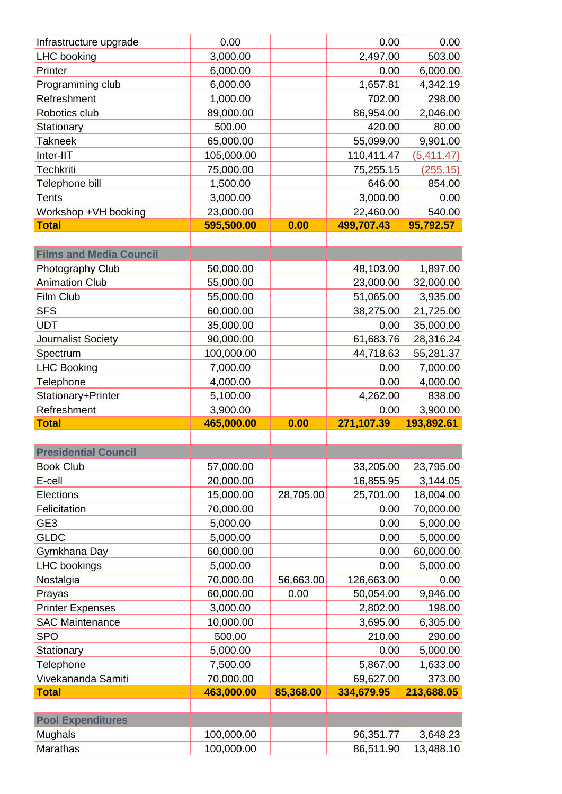| Infrastructure upgrade         | 0.00       |           | 0.00               | 0.00       |
|--------------------------------|------------|-----------|--------------------|------------|
| LHC booking                    | 3,000.00   |           | 2,497.00           | 503.00     |
| Printer                        | 6,000.00   |           | 0.00               | 6,000.00   |
| Programming club               | 6,000.00   |           | 1,657.81           | 4,342.19   |
| Refreshment                    | 1,000.00   |           | 702.00             | 298.00     |
| Robotics club                  | 89,000.00  |           | 86,954.00          | 2,046.00   |
| Stationary                     | 500.00     |           | 420.00             | 80.00      |
| <b>Takneek</b>                 | 65,000.00  |           | 55,099.00          | 9,901.00   |
| Inter-IIT                      | 105,000.00 |           | 110,411.47         | (5,411.47) |
| <b>Techkriti</b>               | 75,000.00  |           | 75,255.15          | (255.15)   |
| Telephone bill                 | 1,500.00   |           | 646.00             | 854.00     |
| <b>Tents</b>                   | 3,000.00   |           | 3,000.00           | 0.00       |
| Workshop +VH booking           | 23,000.00  |           | 22,460.00          | 540.00     |
| <b>Total</b>                   | 595,500.00 | 0.00      | 499,707.43         | 95,792.57  |
|                                |            |           |                    |            |
| <b>Films and Media Council</b> |            |           |                    |            |
| Photography Club               | 50,000.00  |           | 48,103.00          | 1,897.00   |
| <b>Animation Club</b>          | 55,000.00  |           | 23,000.00          | 32,000.00  |
| Film Club                      | 55,000.00  |           | 51,065.00          | 3,935.00   |
| <b>SFS</b>                     | 60,000.00  |           | 38,275.00          | 21,725.00  |
| <b>UDT</b>                     | 35,000.00  |           | 0.00               | 35,000.00  |
| Journalist Society             | 90,000.00  |           | 61,683.76          | 28,316.24  |
| Spectrum                       | 100,000.00 |           | 44,718.63          | 55,281.37  |
| <b>LHC Booking</b>             | 7,000.00   |           | 0.00               | 7,000.00   |
| Telephone                      | 4,000.00   |           | 0.00               | 4,000.00   |
| Stationary+Printer             | 5,100.00   |           | 4,262.00           | 838.00     |
|                                |            |           |                    |            |
| Refreshment                    | 3,900.00   |           | 0.00               | 3,900.00   |
| <b>Total</b>                   | 465,000.00 | 0.00      | 271,107.39         | 193,892.61 |
|                                |            |           |                    |            |
| <b>Presidential Council</b>    |            |           |                    |            |
| <b>Book Club</b>               | 57,000.00  |           | 33,205.00          | 23,795.00  |
| E-cell                         | 20,000.00  |           | 16,855.95          | 3,144.05   |
| Elections                      | 15,000.00  | 28,705.00 | 25,701.00          | 18,004.00  |
| Felicitation                   | 70,000.00  |           | 0.00               | 70,000.00  |
| GE3                            | 5,000.00   |           | 0.00               | 5,000.00   |
| <b>GLDC</b>                    | 5,000.00   |           | 0.00               | 5,000.00   |
| Gymkhana Day                   | 60,000.00  |           | 0.00               | 60,000.00  |
| <b>LHC</b> bookings            | 5,000.00   |           | 0.00               | 5,000.00   |
| Nostalgia                      | 70,000.00  | 56,663.00 | 126,663.00         | 0.00       |
| Prayas                         | 60,000.00  | 0.00      | 50,054.00          | 9,946.00   |
| <b>Printer Expenses</b>        | 3,000.00   |           | 2,802.00           | 198.00     |
| <b>SAC Maintenance</b>         | 10,000.00  |           |                    | 6,305.00   |
| <b>SPO</b>                     | 500.00     |           | 3,695.00<br>210.00 | 290.00     |
|                                | 5,000.00   |           | 0.00               | 5,000.00   |
| Stationary<br>Telephone        | 7,500.00   |           | 5,867.00           | 1,633.00   |
| Vivekananda Samiti             | 70,000.00  |           | 69,627.00          | 373.00     |
| <b>Total</b>                   | 463,000.00 | 85,368.00 | 334,679.95         | 213,688.05 |
|                                |            |           |                    |            |
| <b>Pool Expenditures</b>       |            |           |                    |            |
| Mughals                        | 100,000.00 |           | 96,351.77          | 3,648.23   |